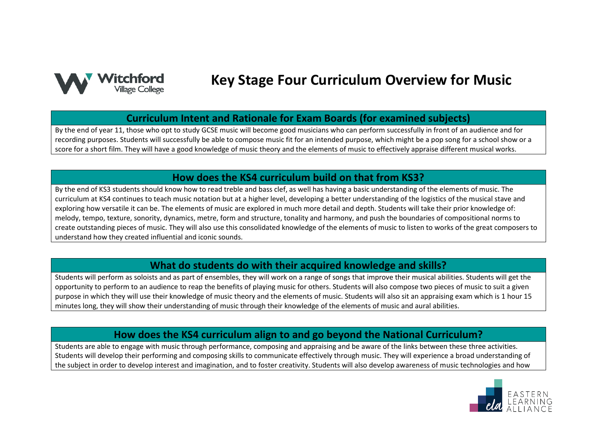

# **Key Stage Four Curriculum Overview for Music**

### **Curriculum Intent and Rationale for Exam Boards (for examined subjects)**

By the end of year 11, those who opt to study GCSE music will become good musicians who can perform successfully in front of an audience and for recording purposes. Students will successfully be able to compose music fit for an intended purpose, which might be a pop song for a school show or a score for a short film. They will have a good knowledge of music theory and the elements of music to effectively appraise different musical works.

#### **How does the KS4 curriculum build on that from KS3?**

By the end of KS3 students should know how to read treble and bass clef, as well has having a basic understanding of the elements of music. The curriculum at KS4 continues to teach music notation but at a higher level, developing a better understanding of the logistics of the musical stave and exploring how versatile it can be. The elements of music are explored in much more detail and depth. Students will take their prior knowledge of: melody, tempo, texture, sonority, dynamics, metre, form and structure, tonality and harmony, and push the boundaries of compositional norms to create outstanding pieces of music. They will also use this consolidated knowledge of the elements of music to listen to works of the great composers to understand how they created influential and iconic sounds.

### **What do students do with their acquired knowledge and skills?**

Students will perform as soloists and as part of ensembles, they will work on a range of songs that improve their musical abilities. Students will get the opportunity to perform to an audience to reap the benefits of playing music for others. Students will also compose two pieces of music to suit a given purpose in which they will use their knowledge of music theory and the elements of music. Students will also sit an appraising exam which is 1 hour 15 minutes long, they will show their understanding of music through their knowledge of the elements of music and aural abilities.

## **How does the KS4 curriculum align to and go beyond the National Curriculum?**

Students are able to engage with music through performance, composing and appraising and be aware of the links between these three activities. Students will develop their performing and composing skills to communicate effectively through music. They will experience a broad understanding of the subject in order to develop interest and imagination, and to foster creativity. Students will also develop awareness of music technologies and how

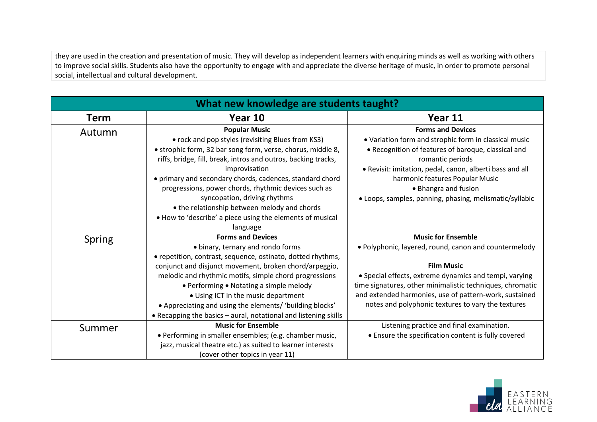they are used in the creation and presentation of music. They will develop as independent learners with enquiring minds as well as working with others to improve social skills. Students also have the opportunity to engage with and appreciate the diverse heritage of music, in order to promote personal social, intellectual and cultural development.

| What new knowledge are students taught? |                                                                 |                                                           |
|-----------------------------------------|-----------------------------------------------------------------|-----------------------------------------------------------|
| <b>Term</b>                             | Year 10                                                         | Year 11                                                   |
| Autumn                                  | <b>Popular Music</b>                                            | <b>Forms and Devices</b>                                  |
|                                         | • rock and pop styles (revisiting Blues from KS3)               | • Variation form and strophic form in classical music     |
|                                         | • strophic form, 32 bar song form, verse, chorus, middle 8,     | • Recognition of features of baroque, classical and       |
|                                         | riffs, bridge, fill, break, intros and outros, backing tracks,  | romantic periods                                          |
|                                         | improvisation                                                   | . Revisit: imitation, pedal, canon, alberti bass and all  |
|                                         | • primary and secondary chords, cadences, standard chord        | harmonic features Popular Music                           |
|                                         | progressions, power chords, rhythmic devices such as            | • Bhangra and fusion                                      |
|                                         | syncopation, driving rhythms                                    | • Loops, samples, panning, phasing, melismatic/syllabic   |
|                                         | • the relationship between melody and chords                    |                                                           |
|                                         | . How to 'describe' a piece using the elements of musical       |                                                           |
|                                         | language                                                        |                                                           |
| <b>Spring</b>                           | <b>Forms and Devices</b>                                        | <b>Music for Ensemble</b>                                 |
|                                         | • binary, ternary and rondo forms                               | . Polyphonic, layered, round, canon and countermelody     |
|                                         | • repetition, contrast, sequence, ostinato, dotted rhythms,     |                                                           |
|                                         | conjunct and disjunct movement, broken chord/arpeggio,          | <b>Film Music</b>                                         |
|                                         | melodic and rhythmic motifs, simple chord progressions          | • Special effects, extreme dynamics and tempi, varying    |
|                                         | • Performing • Notating a simple melody                         | time signatures, other minimalistic techniques, chromatic |
|                                         | • Using ICT in the music department                             | and extended harmonies, use of pattern-work, sustained    |
|                                         | • Appreciating and using the elements/ 'building blocks'        | notes and polyphonic textures to vary the textures        |
|                                         | • Recapping the basics - aural, notational and listening skills |                                                           |
| Summer                                  | <b>Music for Ensemble</b>                                       | Listening practice and final examination.                 |
|                                         | • Performing in smaller ensembles; (e.g. chamber music,         | • Ensure the specification content is fully covered       |
|                                         | jazz, musical theatre etc.) as suited to learner interests      |                                                           |
|                                         | (cover other topics in year 11)                                 |                                                           |